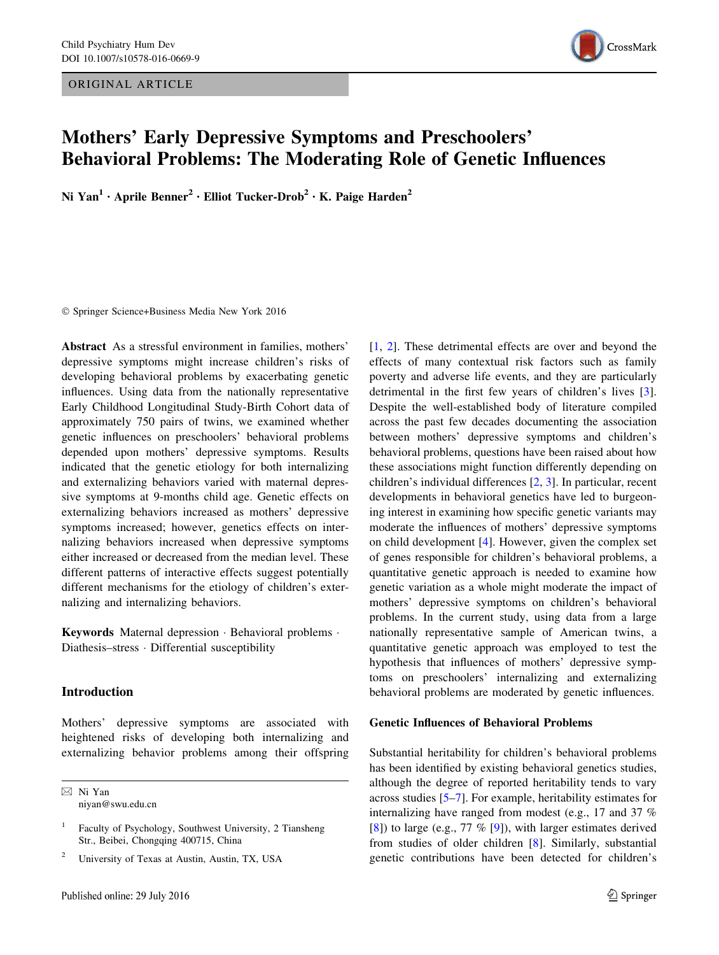ORIGINAL ARTICLE



# Mothers' Early Depressive Symptoms and Preschoolers' Behavioral Problems: The Moderating Role of Genetic Influences

Ni Yan<sup>1</sup> • Aprile Benner<sup>2</sup> • Elliot Tucker-Drob<sup>2</sup> • K. Paige Harden<sup>2</sup>

- Springer Science+Business Media New York 2016

Abstract As a stressful environment in families, mothers' depressive symptoms might increase children's risks of developing behavioral problems by exacerbating genetic influences. Using data from the nationally representative Early Childhood Longitudinal Study-Birth Cohort data of approximately 750 pairs of twins, we examined whether genetic influences on preschoolers' behavioral problems depended upon mothers' depressive symptoms. Results indicated that the genetic etiology for both internalizing and externalizing behaviors varied with maternal depressive symptoms at 9-months child age. Genetic effects on externalizing behaviors increased as mothers' depressive symptoms increased; however, genetics effects on internalizing behaviors increased when depressive symptoms either increased or decreased from the median level. These different patterns of interactive effects suggest potentially different mechanisms for the etiology of children's externalizing and internalizing behaviors.

Keywords Maternal depression - Behavioral problems - Diathesis–stress - Differential susceptibility

# Introduction

Mothers' depressive symptoms are associated with heightened risks of developing both internalizing and externalizing behavior problems among their offspring

& Ni Yan niyan@swu.edu.cn

<sup>2</sup> University of Texas at Austin, Austin, TX, USA

[\[1](#page-7-0), [2\]](#page-8-0). These detrimental effects are over and beyond the effects of many contextual risk factors such as family poverty and adverse life events, and they are particularly detrimental in the first few years of children's lives [\[3](#page-8-0)]. Despite the well-established body of literature compiled across the past few decades documenting the association between mothers' depressive symptoms and children's behavioral problems, questions have been raised about how these associations might function differently depending on children's individual differences [\[2](#page-8-0), [3](#page-8-0)]. In particular, recent developments in behavioral genetics have led to burgeoning interest in examining how specific genetic variants may moderate the influences of mothers' depressive symptoms on child development [[4\]](#page-8-0). However, given the complex set of genes responsible for children's behavioral problems, a quantitative genetic approach is needed to examine how genetic variation as a whole might moderate the impact of mothers' depressive symptoms on children's behavioral problems. In the current study, using data from a large nationally representative sample of American twins, a quantitative genetic approach was employed to test the hypothesis that influences of mothers' depressive symptoms on preschoolers' internalizing and externalizing behavioral problems are moderated by genetic influences.

### Genetic Influences of Behavioral Problems

Substantial heritability for children's behavioral problems has been identified by existing behavioral genetics studies, although the degree of reported heritability tends to vary across studies [\[5–7](#page-8-0)]. For example, heritability estimates for internalizing have ranged from modest (e.g., 17 and 37 % [\[8](#page-8-0)]) to large (e.g., 77 % [\[9](#page-8-0)]), with larger estimates derived from studies of older children [[8\]](#page-8-0). Similarly, substantial genetic contributions have been detected for children's

Faculty of Psychology, Southwest University, 2 Tiansheng Str., Beibei, Chongqing 400715, China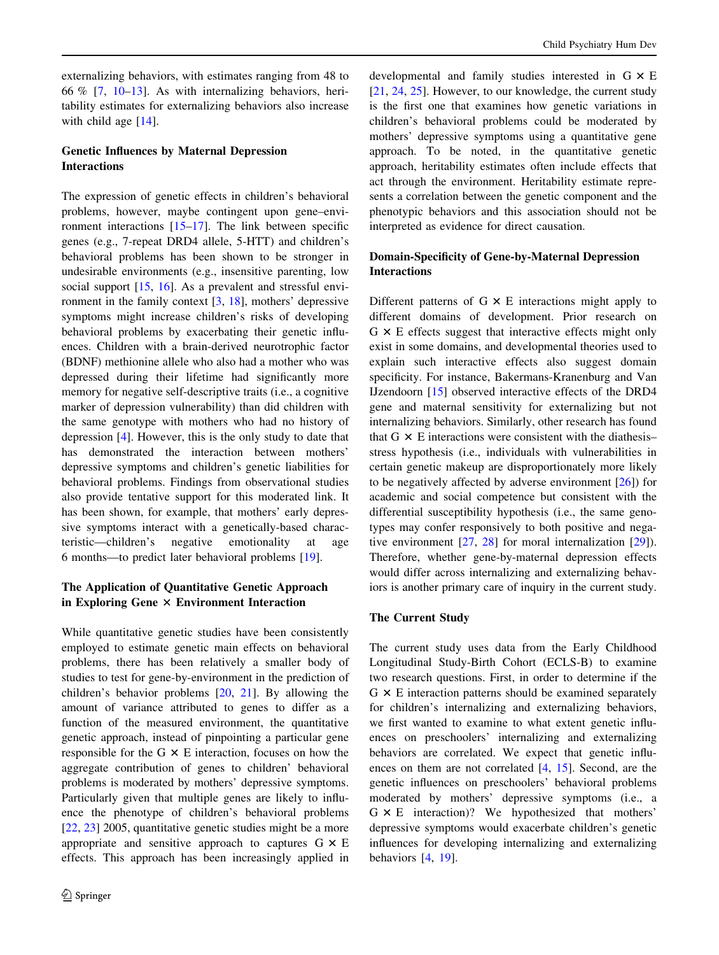externalizing behaviors, with estimates ranging from 48 to 66 % [[7,](#page-8-0) [10–13](#page-8-0)]. As with internalizing behaviors, heritability estimates for externalizing behaviors also increase with child age  $[14]$  $[14]$ .

# Genetic Influences by Maternal Depression Interactions

The expression of genetic effects in children's behavioral problems, however, maybe contingent upon gene–environment interactions [\[15–17](#page-8-0)]. The link between specific genes (e.g., 7-repeat DRD4 allele, 5-HTT) and children's behavioral problems has been shown to be stronger in undesirable environments (e.g., insensitive parenting, low social support [[15,](#page-8-0) [16\]](#page-8-0). As a prevalent and stressful environment in the family context [[3,](#page-8-0) [18](#page-8-0)], mothers' depressive symptoms might increase children's risks of developing behavioral problems by exacerbating their genetic influences. Children with a brain-derived neurotrophic factor (BDNF) methionine allele who also had a mother who was depressed during their lifetime had significantly more memory for negative self-descriptive traits (i.e., a cognitive marker of depression vulnerability) than did children with the same genotype with mothers who had no history of depression [\[4](#page-8-0)]. However, this is the only study to date that has demonstrated the interaction between mothers' depressive symptoms and children's genetic liabilities for behavioral problems. Findings from observational studies also provide tentative support for this moderated link. It has been shown, for example, that mothers' early depressive symptoms interact with a genetically-based characteristic—children's negative emotionality at age 6 months—to predict later behavioral problems [[19\]](#page-8-0).

# The Application of Quantitative Genetic Approach in Exploring Gene  $\times$  Environment Interaction

While quantitative genetic studies have been consistently employed to estimate genetic main effects on behavioral problems, there has been relatively a smaller body of studies to test for gene-by-environment in the prediction of children's behavior problems [[20,](#page-8-0) [21](#page-8-0)]. By allowing the amount of variance attributed to genes to differ as a function of the measured environment, the quantitative genetic approach, instead of pinpointing a particular gene responsible for the G  $\times$  E interaction, focuses on how the aggregate contribution of genes to children' behavioral problems is moderated by mothers' depressive symptoms. Particularly given that multiple genes are likely to influence the phenotype of children's behavioral problems [\[22](#page-8-0), [23\]](#page-8-0) 2005, quantitative genetic studies might be a more appropriate and sensitive approach to captures  $G \times E$ effects. This approach has been increasingly applied in

developmental and family studies interested in  $G \times E$ [\[21](#page-8-0), [24,](#page-8-0) [25](#page-8-0)]. However, to our knowledge, the current study is the first one that examines how genetic variations in children's behavioral problems could be moderated by mothers' depressive symptoms using a quantitative gene approach. To be noted, in the quantitative genetic approach, heritability estimates often include effects that act through the environment. Heritability estimate represents a correlation between the genetic component and the phenotypic behaviors and this association should not be interpreted as evidence for direct causation.

## Domain-Specificity of Gene-by-Maternal Depression Interactions

Different patterns of  $G \times E$  interactions might apply to different domains of development. Prior research on  $G \times E$  effects suggest that interactive effects might only exist in some domains, and developmental theories used to explain such interactive effects also suggest domain specificity. For instance, Bakermans-Kranenburg and Van IJzendoorn [[15](#page-8-0)] observed interactive effects of the DRD4 gene and maternal sensitivity for externalizing but not internalizing behaviors. Similarly, other research has found that  $G \times E$  interactions were consistent with the diathesis– stress hypothesis (i.e., individuals with vulnerabilities in certain genetic makeup are disproportionately more likely to be negatively affected by adverse environment [[26\]](#page-8-0)) for academic and social competence but consistent with the differential susceptibility hypothesis (i.e., the same genotypes may confer responsively to both positive and negative environment [\[27](#page-8-0), [28\]](#page-8-0) for moral internalization [\[29](#page-8-0)]). Therefore, whether gene-by-maternal depression effects would differ across internalizing and externalizing behaviors is another primary care of inquiry in the current study.

#### The Current Study

The current study uses data from the Early Childhood Longitudinal Study-Birth Cohort (ECLS-B) to examine two research questions. First, in order to determine if the  $G \times E$  interaction patterns should be examined separately for children's internalizing and externalizing behaviors, we first wanted to examine to what extent genetic influences on preschoolers' internalizing and externalizing behaviors are correlated. We expect that genetic influences on them are not correlated [\[4](#page-8-0), [15\]](#page-8-0). Second, are the genetic influences on preschoolers' behavioral problems moderated by mothers' depressive symptoms (i.e., a  $G \times E$  interaction)? We hypothesized that mothers' depressive symptoms would exacerbate children's genetic influences for developing internalizing and externalizing behaviors [\[4](#page-8-0), [19\]](#page-8-0).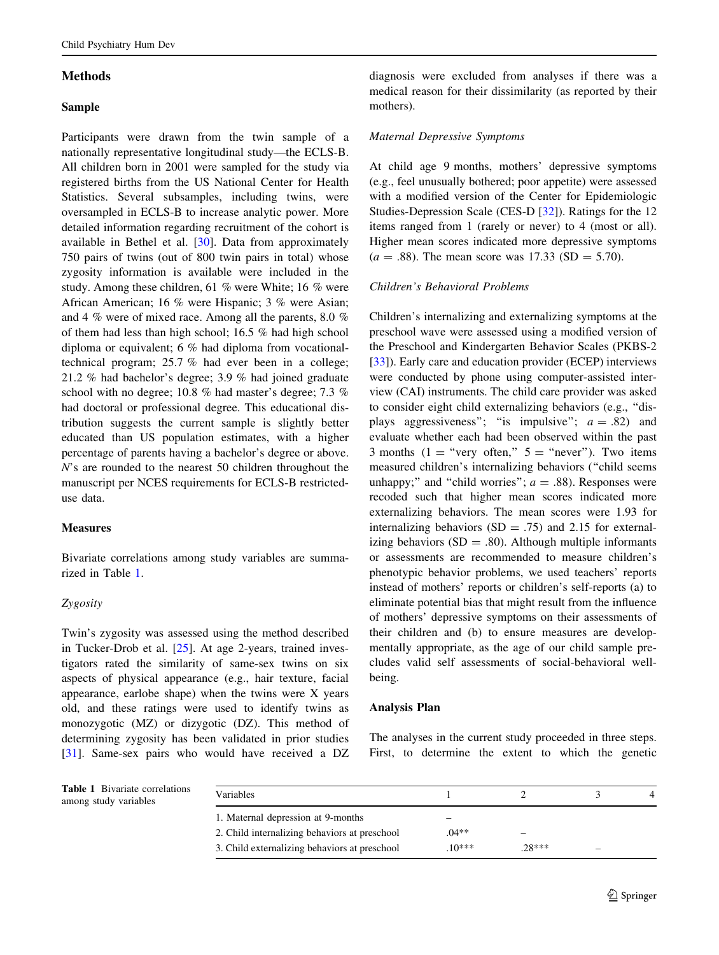## Methods

### Sample

Participants were drawn from the twin sample of a nationally representative longitudinal study—the ECLS-B. All children born in 2001 were sampled for the study via registered births from the US National Center for Health Statistics. Several subsamples, including twins, were oversampled in ECLS-B to increase analytic power. More detailed information regarding recruitment of the cohort is available in Bethel et al. [[30\]](#page-8-0). Data from approximately 750 pairs of twins (out of 800 twin pairs in total) whose zygosity information is available were included in the study. Among these children, 61 % were White; 16 % were African American; 16 % were Hispanic; 3 % were Asian; and 4 % were of mixed race. Among all the parents, 8.0 % of them had less than high school; 16.5 % had high school diploma or equivalent; 6 % had diploma from vocationaltechnical program; 25.7 % had ever been in a college; 21.2 % had bachelor's degree; 3.9 % had joined graduate school with no degree; 10.8 % had master's degree; 7.3 % had doctoral or professional degree. This educational distribution suggests the current sample is slightly better educated than US population estimates, with a higher percentage of parents having a bachelor's degree or above. N's are rounded to the nearest 50 children throughout the manuscript per NCES requirements for ECLS-B restricteduse data.

### Measures

Bivariate correlations among study variables are summarized in Table 1.

### Zygosity

Twin's zygosity was assessed using the method described in Tucker-Drob et al. [\[25](#page-8-0)]. At age 2-years, trained investigators rated the similarity of same-sex twins on six aspects of physical appearance (e.g., hair texture, facial appearance, earlobe shape) when the twins were X years old, and these ratings were used to identify twins as monozygotic (MZ) or dizygotic (DZ). This method of determining zygosity has been validated in prior studies [\[31](#page-8-0)]. Same-sex pairs who would have received a DZ diagnosis were excluded from analyses if there was a medical reason for their dissimilarity (as reported by their mothers).

# Maternal Depressive Symptoms

At child age 9 months, mothers' depressive symptoms (e.g., feel unusually bothered; poor appetite) were assessed with a modified version of the Center for Epidemiologic Studies-Depression Scale (CES-D [\[32](#page-9-0)]). Ratings for the 12 items ranged from 1 (rarely or never) to 4 (most or all). Higher mean scores indicated more depressive symptoms  $(a = .88)$ . The mean score was 17.33 (SD = 5.70).

# Children's Behavioral Problems

Children's internalizing and externalizing symptoms at the preschool wave were assessed using a modified version of the Preschool and Kindergarten Behavior Scales (PKBS-2 [\[33](#page-9-0)]). Early care and education provider (ECEP) interviews were conducted by phone using computer-assisted interview (CAI) instruments. The child care provider was asked to consider eight child externalizing behaviors (e.g., ''displays aggressiveness"; "is impulsive";  $a = .82$ ) and evaluate whether each had been observed within the past 3 months (1 = "very often,"  $5 =$  "never"). Two items measured children's internalizing behaviors (''child seems unhappy;" and "child worries";  $a = .88$ ). Responses were recoded such that higher mean scores indicated more externalizing behaviors. The mean scores were 1.93 for internalizing behaviors  $(SD = .75)$  and 2.15 for externalizing behaviors  $(SD = .80)$ . Although multiple informants or assessments are recommended to measure children's phenotypic behavior problems, we used teachers' reports instead of mothers' reports or children's self-reports (a) to eliminate potential bias that might result from the influence of mothers' depressive symptoms on their assessments of their children and (b) to ensure measures are developmentally appropriate, as the age of our child sample precludes valid self assessments of social-behavioral wellbeing.

### Analysis Plan

The analyses in the current study proceeded in three steps. First, to determine the extent to which the genetic

Table 1 Bivariate correlations among study variables

| Variables                                     |         |         |   |  |
|-----------------------------------------------|---------|---------|---|--|
| 1. Maternal depression at 9-months            |         |         |   |  |
| 2. Child internalizing behaviors at preschool | $04**$  |         |   |  |
| 3. Child externalizing behaviors at preschool | $10***$ | $28***$ | - |  |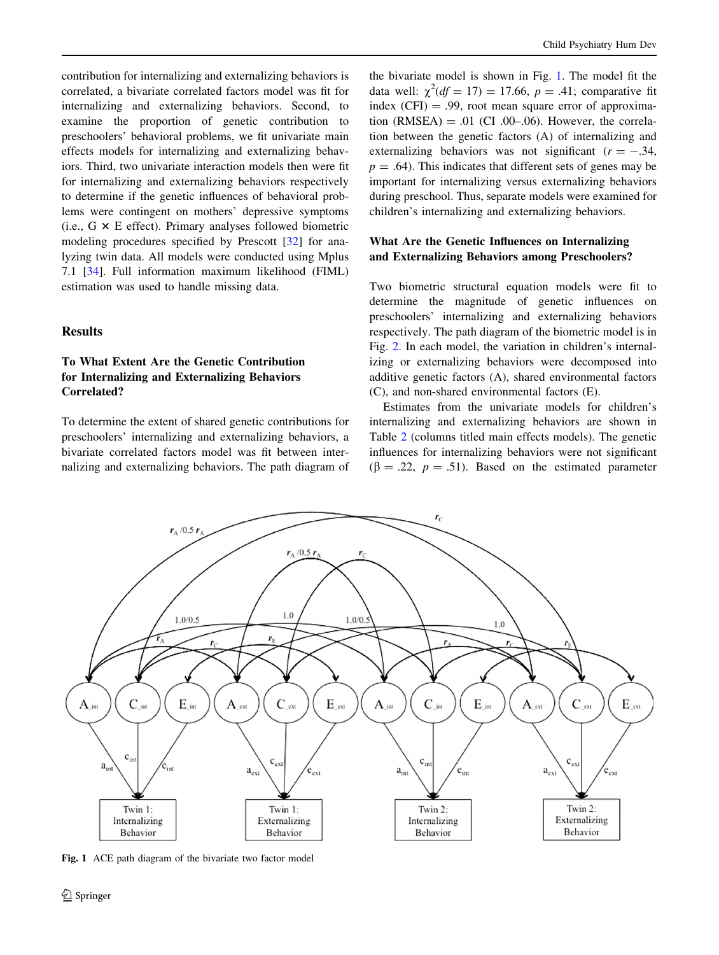contribution for internalizing and externalizing behaviors is correlated, a bivariate correlated factors model was fit for internalizing and externalizing behaviors. Second, to examine the proportion of genetic contribution to preschoolers' behavioral problems, we fit univariate main effects models for internalizing and externalizing behaviors. Third, two univariate interaction models then were fit for internalizing and externalizing behaviors respectively to determine if the genetic influences of behavioral problems were contingent on mothers' depressive symptoms (i.e.,  $G \times E$  effect). Primary analyses followed biometric modeling procedures specified by Prescott [\[32](#page-9-0)] for analyzing twin data. All models were conducted using Mplus 7.1 [\[34](#page-9-0)]. Full information maximum likelihood (FIML) estimation was used to handle missing data.

## Results

# To What Extent Are the Genetic Contribution for Internalizing and Externalizing Behaviors Correlated?

To determine the extent of shared genetic contributions for preschoolers' internalizing and externalizing behaviors, a bivariate correlated factors model was fit between internalizing and externalizing behaviors. The path diagram of

the bivariate model is shown in Fig. 1. The model fit the data well:  $\chi^2(df = 17) = 17.66$ ,  $p = .41$ ; comparative fit index  $(CFI) = .99$ , root mean square error of approximation  $(RMSEA) = .01$  (CI .00–.06). However, the correlation between the genetic factors (A) of internalizing and externalizing behaviors was not significant  $(r = -.34, ...)$  $p = .64$ ). This indicates that different sets of genes may be important for internalizing versus externalizing behaviors during preschool. Thus, separate models were examined for children's internalizing and externalizing behaviors.

# What Are the Genetic Influences on Internalizing and Externalizing Behaviors among Preschoolers?

Two biometric structural equation models were fit to determine the magnitude of genetic influences on preschoolers' internalizing and externalizing behaviors respectively. The path diagram of the biometric model is in Fig. [2](#page-4-0). In each model, the variation in children's internalizing or externalizing behaviors were decomposed into additive genetic factors (A), shared environmental factors (C), and non-shared environmental factors (E).

Estimates from the univariate models for children's internalizing and externalizing behaviors are shown in Table [2](#page-4-0) (columns titled main effects models). The genetic influences for internalizing behaviors were not significant  $(\beta = .22, p = .51)$ . Based on the estimated parameter



Fig. 1 ACE path diagram of the bivariate two factor model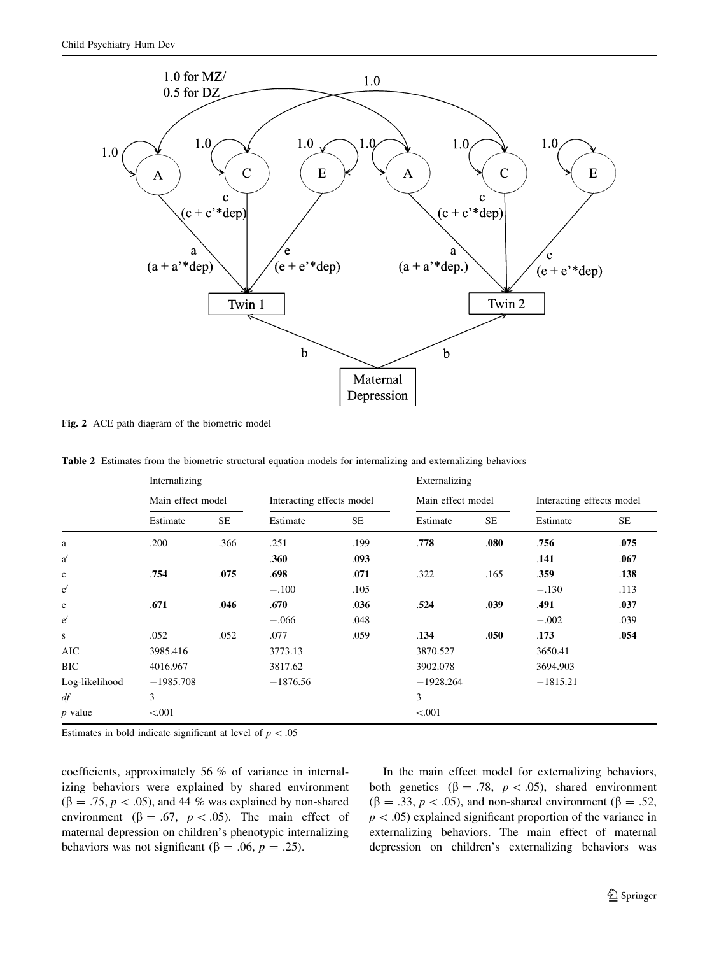<span id="page-4-0"></span>

Fig. 2 ACE path diagram of the biometric model

Table 2 Estimates from the biometric structural equation models for internalizing and externalizing behaviors

|                | Internalizing     |           |                           |           | Externalizing     |           |                           |           |  |
|----------------|-------------------|-----------|---------------------------|-----------|-------------------|-----------|---------------------------|-----------|--|
|                | Main effect model |           | Interacting effects model |           | Main effect model |           | Interacting effects model |           |  |
|                | Estimate          | <b>SE</b> | Estimate                  | <b>SE</b> | Estimate          | <b>SE</b> | Estimate                  | <b>SE</b> |  |
| a              | .200              | .366      | .251                      | .199      | .778              | .080      | .756                      | .075      |  |
| a'             |                   |           | .360                      | .093      |                   |           | .141                      | .067      |  |
| $\mathbf c$    | .754              | .075      | .698                      | .071      | .322              | .165      | .359                      | .138      |  |
| $\rm c'$       |                   |           | $-.100$                   | .105      |                   |           | $-.130$                   | .113      |  |
| e              | .671              | .046      | .670                      | .036      | .524              | .039      | .491                      | .037      |  |
| e'             |                   |           | $-.066$                   | .048      |                   |           | $-.002$                   | .039      |  |
| s              | .052              | .052      | .077                      | .059      | .134              | .050      | .173                      | .054      |  |
| <b>AIC</b>     | 3985.416          |           | 3773.13                   |           | 3870.527          |           | 3650.41                   |           |  |
| <b>BIC</b>     | 4016.967          |           | 3817.62                   |           | 3902.078          |           | 3694.903                  |           |  |
| Log-likelihood | $-1985.708$       |           | $-1876.56$                |           | $-1928.264$       |           | $-1815.21$                |           |  |
| df             | 3                 |           |                           |           | 3                 |           |                           |           |  |
| $p$ value      | < 0.001           |           |                           |           | < 0.001           |           |                           |           |  |

Estimates in bold indicate significant at level of  $p < .05$ 

coefficients, approximately 56 % of variance in internalizing behaviors were explained by shared environment  $(\beta = .75, p < .05)$ , and 44 % was explained by non-shared environment ( $\beta = .67$ ,  $p < .05$ ). The main effect of maternal depression on children's phenotypic internalizing behaviors was not significant ( $\beta = .06$ ,  $p = .25$ ).

In the main effect model for externalizing behaviors, both genetics ( $\beta = .78$ ,  $p < .05$ ), shared environment  $(\beta = .33, p < .05)$ , and non-shared environment ( $\beta = .52$ ,  $p$  < .05) explained significant proportion of the variance in externalizing behaviors. The main effect of maternal depression on children's externalizing behaviors was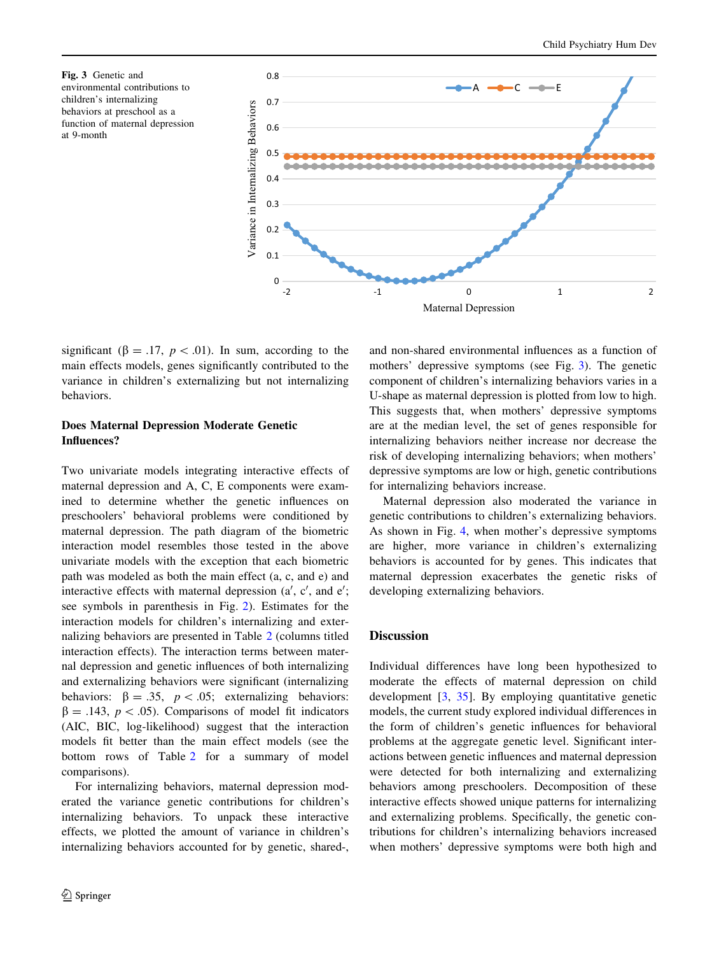Fig. 3 Genetic and environmental contributions to children's internalizing behaviors at preschool as a function of maternal depression at 9-month



significant ( $\beta = .17$ ,  $p < .01$ ). In sum, according to the main effects models, genes significantly contributed to the variance in children's externalizing but not internalizing behaviors.

## Does Maternal Depression Moderate Genetic Influences?

Two univariate models integrating interactive effects of maternal depression and A, C, E components were examined to determine whether the genetic influences on preschoolers' behavioral problems were conditioned by maternal depression. The path diagram of the biometric interaction model resembles those tested in the above univariate models with the exception that each biometric path was modeled as both the main effect (a, c, and e) and interactive effects with maternal depression  $(a', c', and e')$ see symbols in parenthesis in Fig. [2\)](#page-4-0). Estimates for the interaction models for children's internalizing and externalizing behaviors are presented in Table [2](#page-4-0) (columns titled interaction effects). The interaction terms between maternal depression and genetic influences of both internalizing and externalizing behaviors were significant (internalizing behaviors:  $\beta = .35$ ,  $p < .05$ ; externalizing behaviors:  $\beta = .143, p < .05$ . Comparisons of model fit indicators (AIC, BIC, log-likelihood) suggest that the interaction models fit better than the main effect models (see the bottom rows of Table [2](#page-4-0) for a summary of model comparisons).

For internalizing behaviors, maternal depression moderated the variance genetic contributions for children's internalizing behaviors. To unpack these interactive effects, we plotted the amount of variance in children's internalizing behaviors accounted for by genetic, shared-, and non-shared environmental influences as a function of mothers' depressive symptoms (see Fig. 3). The genetic component of children's internalizing behaviors varies in a U-shape as maternal depression is plotted from low to high. This suggests that, when mothers' depressive symptoms are at the median level, the set of genes responsible for internalizing behaviors neither increase nor decrease the risk of developing internalizing behaviors; when mothers' depressive symptoms are low or high, genetic contributions for internalizing behaviors increase.

Maternal depression also moderated the variance in genetic contributions to children's externalizing behaviors. As shown in Fig. [4](#page-6-0), when mother's depressive symptoms are higher, more variance in children's externalizing behaviors is accounted for by genes. This indicates that maternal depression exacerbates the genetic risks of developing externalizing behaviors.

### **Discussion**

Individual differences have long been hypothesized to moderate the effects of maternal depression on child development [\[3](#page-8-0), [35](#page-9-0)]. By employing quantitative genetic models, the current study explored individual differences in the form of children's genetic influences for behavioral problems at the aggregate genetic level. Significant interactions between genetic influences and maternal depression were detected for both internalizing and externalizing behaviors among preschoolers. Decomposition of these interactive effects showed unique patterns for internalizing and externalizing problems. Specifically, the genetic contributions for children's internalizing behaviors increased when mothers' depressive symptoms were both high and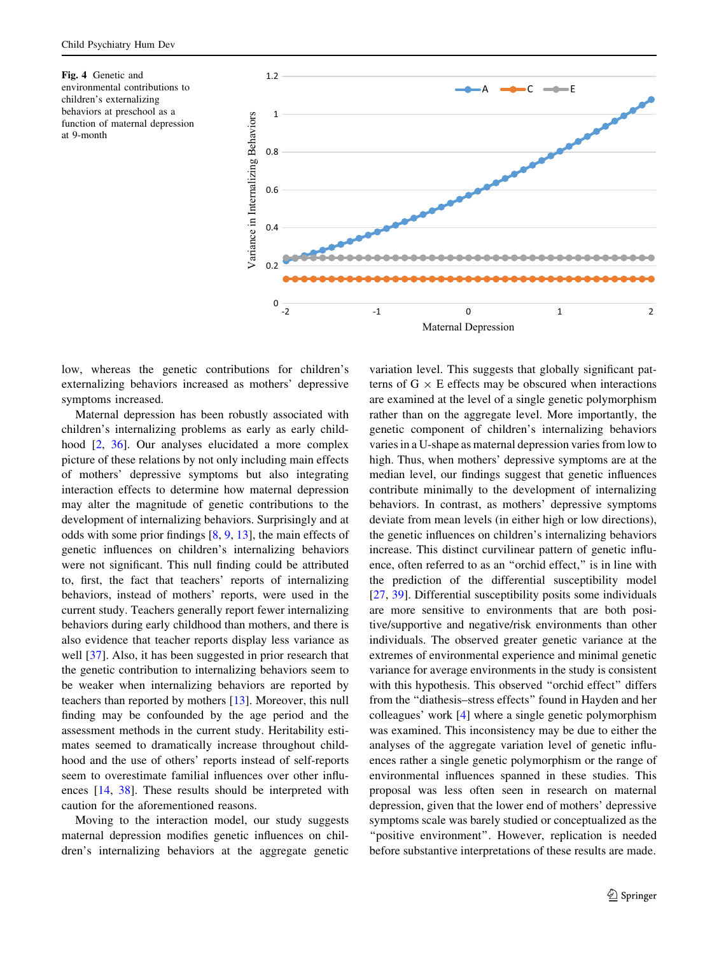<span id="page-6-0"></span>Fig. 4 Genetic and environmental contributions to children's externalizing behaviors at preschool as a function of maternal depression at 9-month



low, whereas the genetic contributions for children's externalizing behaviors increased as mothers' depressive symptoms increased.

Maternal depression has been robustly associated with children's internalizing problems as early as early childhood [\[2](#page-8-0), [36](#page-9-0)]. Our analyses elucidated a more complex picture of these relations by not only including main effects of mothers' depressive symptoms but also integrating interaction effects to determine how maternal depression may alter the magnitude of genetic contributions to the development of internalizing behaviors. Surprisingly and at odds with some prior findings [\[8](#page-8-0), [9,](#page-8-0) [13\]](#page-8-0), the main effects of genetic influences on children's internalizing behaviors were not significant. This null finding could be attributed to, first, the fact that teachers' reports of internalizing behaviors, instead of mothers' reports, were used in the current study. Teachers generally report fewer internalizing behaviors during early childhood than mothers, and there is also evidence that teacher reports display less variance as well [\[37](#page-9-0)]. Also, it has been suggested in prior research that the genetic contribution to internalizing behaviors seem to be weaker when internalizing behaviors are reported by teachers than reported by mothers [\[13](#page-8-0)]. Moreover, this null finding may be confounded by the age period and the assessment methods in the current study. Heritability estimates seemed to dramatically increase throughout childhood and the use of others' reports instead of self-reports seem to overestimate familial influences over other influences [\[14](#page-8-0), [38](#page-9-0)]. These results should be interpreted with caution for the aforementioned reasons.

Moving to the interaction model, our study suggests maternal depression modifies genetic influences on children's internalizing behaviors at the aggregate genetic variation level. This suggests that globally significant patterns of  $G \times E$  effects may be obscured when interactions are examined at the level of a single genetic polymorphism rather than on the aggregate level. More importantly, the genetic component of children's internalizing behaviors varies in a U-shape as maternal depression varies from low to high. Thus, when mothers' depressive symptoms are at the median level, our findings suggest that genetic influences contribute minimally to the development of internalizing behaviors. In contrast, as mothers' depressive symptoms deviate from mean levels (in either high or low directions), the genetic influences on children's internalizing behaviors increase. This distinct curvilinear pattern of genetic influence, often referred to as an ''orchid effect,'' is in line with the prediction of the differential susceptibility model [\[27](#page-8-0), [39\]](#page-9-0). Differential susceptibility posits some individuals are more sensitive to environments that are both positive/supportive and negative/risk environments than other individuals. The observed greater genetic variance at the extremes of environmental experience and minimal genetic variance for average environments in the study is consistent with this hypothesis. This observed "orchid effect" differs from the ''diathesis–stress effects'' found in Hayden and her colleagues' work [\[4](#page-8-0)] where a single genetic polymorphism was examined. This inconsistency may be due to either the analyses of the aggregate variation level of genetic influences rather a single genetic polymorphism or the range of environmental influences spanned in these studies. This proposal was less often seen in research on maternal depression, given that the lower end of mothers' depressive symptoms scale was barely studied or conceptualized as the "positive environment". However, replication is needed before substantive interpretations of these results are made.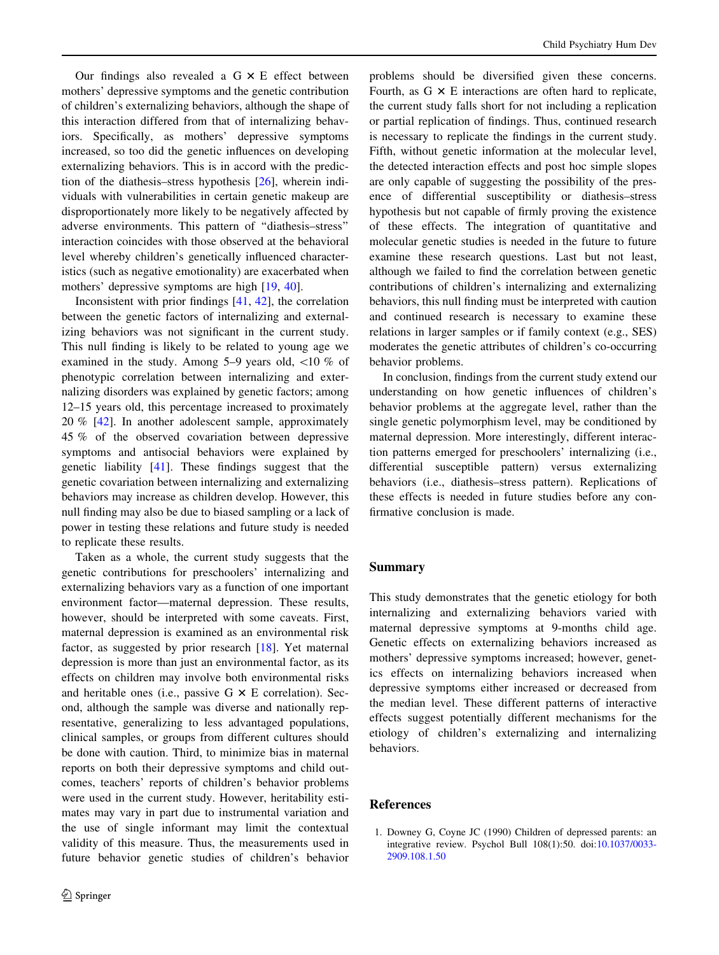<span id="page-7-0"></span>Our findings also revealed a  $G \times E$  effect between mothers' depressive symptoms and the genetic contribution of children's externalizing behaviors, although the shape of this interaction differed from that of internalizing behaviors. Specifically, as mothers' depressive symptoms increased, so too did the genetic influences on developing externalizing behaviors. This is in accord with the prediction of the diathesis–stress hypothesis [[26\]](#page-8-0), wherein individuals with vulnerabilities in certain genetic makeup are disproportionately more likely to be negatively affected by adverse environments. This pattern of ''diathesis–stress'' interaction coincides with those observed at the behavioral level whereby children's genetically influenced characteristics (such as negative emotionality) are exacerbated when mothers' depressive symptoms are high [[19,](#page-8-0) [40\]](#page-9-0).

Inconsistent with prior findings [[41,](#page-9-0) [42](#page-9-0)], the correlation between the genetic factors of internalizing and externalizing behaviors was not significant in the current study. This null finding is likely to be related to young age we examined in the study. Among  $5-9$  years old,  $\langle 10 \% \rangle$  of phenotypic correlation between internalizing and externalizing disorders was explained by genetic factors; among 12–15 years old, this percentage increased to proximately 20 % [[42\]](#page-9-0). In another adolescent sample, approximately 45 % of the observed covariation between depressive symptoms and antisocial behaviors were explained by genetic liability [[41\]](#page-9-0). These findings suggest that the genetic covariation between internalizing and externalizing behaviors may increase as children develop. However, this null finding may also be due to biased sampling or a lack of power in testing these relations and future study is needed to replicate these results.

Taken as a whole, the current study suggests that the genetic contributions for preschoolers' internalizing and externalizing behaviors vary as a function of one important environment factor—maternal depression. These results, however, should be interpreted with some caveats. First, maternal depression is examined as an environmental risk factor, as suggested by prior research [\[18](#page-8-0)]. Yet maternal depression is more than just an environmental factor, as its effects on children may involve both environmental risks and heritable ones (i.e., passive  $G \times E$  correlation). Second, although the sample was diverse and nationally representative, generalizing to less advantaged populations, clinical samples, or groups from different cultures should be done with caution. Third, to minimize bias in maternal reports on both their depressive symptoms and child outcomes, teachers' reports of children's behavior problems were used in the current study. However, heritability estimates may vary in part due to instrumental variation and the use of single informant may limit the contextual validity of this measure. Thus, the measurements used in future behavior genetic studies of children's behavior problems should be diversified given these concerns. Fourth, as  $G \times E$  interactions are often hard to replicate, the current study falls short for not including a replication or partial replication of findings. Thus, continued research is necessary to replicate the findings in the current study. Fifth, without genetic information at the molecular level, the detected interaction effects and post hoc simple slopes are only capable of suggesting the possibility of the presence of differential susceptibility or diathesis–stress hypothesis but not capable of firmly proving the existence of these effects. The integration of quantitative and molecular genetic studies is needed in the future to future examine these research questions. Last but not least, although we failed to find the correlation between genetic contributions of children's internalizing and externalizing behaviors, this null finding must be interpreted with caution and continued research is necessary to examine these relations in larger samples or if family context (e.g., SES) moderates the genetic attributes of children's co-occurring behavior problems.

In conclusion, findings from the current study extend our understanding on how genetic influences of children's behavior problems at the aggregate level, rather than the single genetic polymorphism level, may be conditioned by maternal depression. More interestingly, different interaction patterns emerged for preschoolers' internalizing (i.e., differential susceptible pattern) versus externalizing behaviors (i.e., diathesis–stress pattern). Replications of these effects is needed in future studies before any confirmative conclusion is made.

## Summary

This study demonstrates that the genetic etiology for both internalizing and externalizing behaviors varied with maternal depressive symptoms at 9-months child age. Genetic effects on externalizing behaviors increased as mothers' depressive symptoms increased; however, genetics effects on internalizing behaviors increased when depressive symptoms either increased or decreased from the median level. These different patterns of interactive effects suggest potentially different mechanisms for the etiology of children's externalizing and internalizing behaviors.

# References

1. Downey G, Coyne JC (1990) Children of depressed parents: an integrative review. Psychol Bull 108(1):50. doi:[10.1037/0033-](http://dx.doi.org/10.1037/0033-2909.108.1.50) [2909.108.1.50](http://dx.doi.org/10.1037/0033-2909.108.1.50)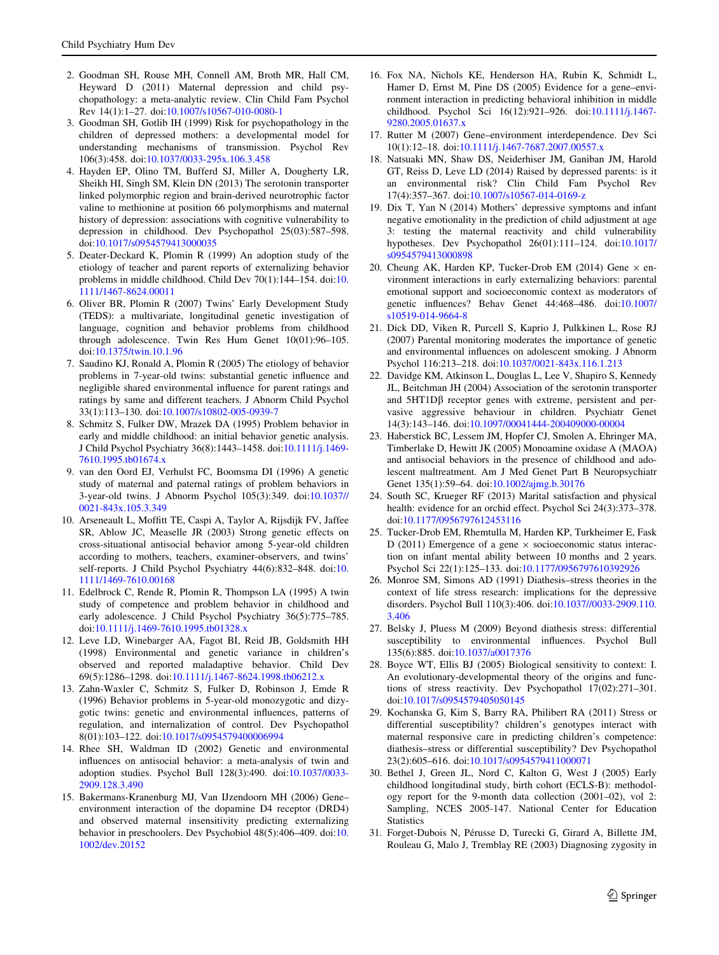- <span id="page-8-0"></span>2. Goodman SH, Rouse MH, Connell AM, Broth MR, Hall CM, Heyward D (2011) Maternal depression and child psychopathology: a meta-analytic review. Clin Child Fam Psychol Rev 14(1):1–27. doi:[10.1007/s10567-010-0080-1](http://dx.doi.org/10.1007/s10567-010-0080-1)
- 3. Goodman SH, Gotlib IH (1999) Risk for psychopathology in the children of depressed mothers: a developmental model for understanding mechanisms of transmission. Psychol Rev 106(3):458. doi[:10.1037/0033-295x.106.3.458](http://dx.doi.org/10.1037/0033-295x.106.3.458)
- 4. Hayden EP, Olino TM, Bufferd SJ, Miller A, Dougherty LR, Sheikh HI, Singh SM, Klein DN (2013) The serotonin transporter linked polymorphic region and brain-derived neurotrophic factor valine to methionine at position 66 polymorphisms and maternal history of depression: associations with cognitive vulnerability to depression in childhood. Dev Psychopathol 25(03):587–598. doi:[10.1017/s0954579413000035](http://dx.doi.org/10.1017/s0954579413000035)
- 5. Deater-Deckard K, Plomin R (1999) An adoption study of the etiology of teacher and parent reports of externalizing behavior problems in middle childhood. Child Dev 70(1):144–154. doi:[10.](http://dx.doi.org/10.1111/1467-8624.00011) [1111/1467-8624.00011](http://dx.doi.org/10.1111/1467-8624.00011)
- 6. Oliver BR, Plomin R (2007) Twins' Early Development Study (TEDS): a multivariate, longitudinal genetic investigation of language, cognition and behavior problems from childhood through adolescence. Twin Res Hum Genet 10(01):96–105. doi:[10.1375/twin.10.1.96](http://dx.doi.org/10.1375/twin.10.1.96)
- 7. Saudino KJ, Ronald A, Plomin R (2005) The etiology of behavior problems in 7-year-old twins: substantial genetic influence and negligible shared environmental influence for parent ratings and ratings by same and different teachers. J Abnorm Child Psychol 33(1):113–130. doi[:10.1007/s10802-005-0939-7](http://dx.doi.org/10.1007/s10802-005-0939-7)
- 8. Schmitz S, Fulker DW, Mrazek DA (1995) Problem behavior in early and middle childhood: an initial behavior genetic analysis. J Child Psychol Psychiatry 36(8):1443–1458. doi:[10.1111/j.1469-](http://dx.doi.org/10.1111/j.1469-7610.1995.tb01674.x) [7610.1995.tb01674.x](http://dx.doi.org/10.1111/j.1469-7610.1995.tb01674.x)
- 9. van den Oord EJ, Verhulst FC, Boomsma DI (1996) A genetic study of maternal and paternal ratings of problem behaviors in 3-year-old twins. J Abnorm Psychol 105(3):349. doi:[10.1037//](http://dx.doi.org/10.1037//0021-843x.105.3.349) [0021-843x.105.3.349](http://dx.doi.org/10.1037//0021-843x.105.3.349)
- 10. Arseneault L, Moffitt TE, Caspi A, Taylor A, Rijsdijk FV, Jaffee SR, Ablow JC, Measelle JR (2003) Strong genetic effects on cross-situational antisocial behavior among 5-year-old children according to mothers, teachers, examiner-observers, and twins' self-reports. J Child Psychol Psychiatry 44(6):832–848. doi:[10.](http://dx.doi.org/10.1111/1469-7610.00168) [1111/1469-7610.00168](http://dx.doi.org/10.1111/1469-7610.00168)
- 11. Edelbrock C, Rende R, Plomin R, Thompson LA (1995) A twin study of competence and problem behavior in childhood and early adolescence. J Child Psychol Psychiatry 36(5):775–785. doi:[10.1111/j.1469-7610.1995.tb01328.x](http://dx.doi.org/10.1111/j.1469-7610.1995.tb01328.x)
- 12. Leve LD, Winebarger AA, Fagot BI, Reid JB, Goldsmith HH (1998) Environmental and genetic variance in children's observed and reported maladaptive behavior. Child Dev 69(5):1286–1298. doi:[10.1111/j.1467-8624.1998.tb06212.x](http://dx.doi.org/10.1111/j.1467-8624.1998.tb06212.x)
- 13. Zahn-Waxler C, Schmitz S, Fulker D, Robinson J, Emde R (1996) Behavior problems in 5-year-old monozygotic and dizygotic twins: genetic and environmental influences, patterns of regulation, and internalization of control. Dev Psychopathol 8(01):103–122. doi[:10.1017/s0954579400006994](http://dx.doi.org/10.1017/s0954579400006994)
- 14. Rhee SH, Waldman ID (2002) Genetic and environmental influences on antisocial behavior: a meta-analysis of twin and adoption studies. Psychol Bull 128(3):490. doi[:10.1037/0033-](http://dx.doi.org/10.1037/0033-2909.128.3.490) [2909.128.3.490](http://dx.doi.org/10.1037/0033-2909.128.3.490)
- 15. Bakermans-Kranenburg MJ, Van IJzendoorn MH (2006) Gene– environment interaction of the dopamine D4 receptor (DRD4) and observed maternal insensitivity predicting externalizing behavior in preschoolers. Dev Psychobiol 48(5):406–409. doi:[10.](http://dx.doi.org/10.1002/dev.20152) [1002/dev.20152](http://dx.doi.org/10.1002/dev.20152)
- 16. Fox NA, Nichols KE, Henderson HA, Rubin K, Schmidt L, Hamer D, Ernst M, Pine DS (2005) Evidence for a gene–environment interaction in predicting behavioral inhibition in middle childhood. Psychol Sci 16(12):921–926. doi[:10.1111/j.1467-](http://dx.doi.org/10.1111/j.1467-9280.2005.01637.x) [9280.2005.01637.x](http://dx.doi.org/10.1111/j.1467-9280.2005.01637.x)
- 17. Rutter M (2007) Gene–environment interdependence. Dev Sci 10(1):12–18. doi:[10.1111/j.1467-7687.2007.00557.x](http://dx.doi.org/10.1111/j.1467-7687.2007.00557.x)
- 18. Natsuaki MN, Shaw DS, Neiderhiser JM, Ganiban JM, Harold GT, Reiss D, Leve LD (2014) Raised by depressed parents: is it an environmental risk? Clin Child Fam Psychol Rev 17(4):357–367. doi[:10.1007/s10567-014-0169-z](http://dx.doi.org/10.1007/s10567-014-0169-z)
- 19. Dix T, Yan N (2014) Mothers' depressive symptoms and infant negative emotionality in the prediction of child adjustment at age 3: testing the maternal reactivity and child vulnerability hypotheses. Dev Psychopathol 26(01):111–124. doi[:10.1017/](http://dx.doi.org/10.1017/s0954579413000898) [s0954579413000898](http://dx.doi.org/10.1017/s0954579413000898)
- 20. Cheung AK, Harden KP, Tucker-Drob EM (2014) Gene  $\times$  environment interactions in early externalizing behaviors: parental emotional support and socioeconomic context as moderators of genetic influences? Behav Genet 44:468–486. doi[:10.1007/](http://dx.doi.org/10.1007/s10519-014-9664-8) [s10519-014-9664-8](http://dx.doi.org/10.1007/s10519-014-9664-8)
- 21. Dick DD, Viken R, Purcell S, Kaprio J, Pulkkinen L, Rose RJ (2007) Parental monitoring moderates the importance of genetic and environmental influences on adolescent smoking. J Abnorm Psychol 116:213–218. doi[:10.1037/0021-843x.116.1.213](http://dx.doi.org/10.1037/0021-843x.116.1.213)
- 22. Davidge KM, Atkinson L, Douglas L, Lee V, Shapiro S, Kennedy JL, Beitchman JH (2004) Association of the serotonin transporter and  $5HT1D\beta$  receptor genes with extreme, persistent and pervasive aggressive behaviour in children. Psychiatr Genet 14(3):143–146. doi[:10.1097/00041444-200409000-00004](http://dx.doi.org/10.1097/00041444-200409000-00004)
- 23. Haberstick BC, Lessem JM, Hopfer CJ, Smolen A, Ehringer MA, Timberlake D, Hewitt JK (2005) Monoamine oxidase A (MAOA) and antisocial behaviors in the presence of childhood and adolescent maltreatment. Am J Med Genet Part B Neuropsychiatr Genet 135(1):59–64. doi[:10.1002/ajmg.b.30176](http://dx.doi.org/10.1002/ajmg.b.30176)
- 24. South SC, Krueger RF (2013) Marital satisfaction and physical health: evidence for an orchid effect. Psychol Sci 24(3):373-378. doi:[10.1177/0956797612453116](http://dx.doi.org/10.1177/0956797612453116)
- 25. Tucker-Drob EM, Rhemtulla M, Harden KP, Turkheimer E, Fask D (2011) Emergence of a gene  $\times$  socioeconomic status interaction on infant mental ability between 10 months and 2 years. Psychol Sci 22(1):125–133. doi:[10.1177/0956797610392926](http://dx.doi.org/10.1177/0956797610392926)
- 26. Monroe SM, Simons AD (1991) Diathesis–stress theories in the context of life stress research: implications for the depressive disorders. Psychol Bull 110(3):406. doi[:10.1037//0033-2909.110.](http://dx.doi.org/10.1037//0033-2909.110.3.406) [3.406](http://dx.doi.org/10.1037//0033-2909.110.3.406)
- 27. Belsky J, Pluess M (2009) Beyond diathesis stress: differential susceptibility to environmental influences. Psychol Bull 135(6):885. doi:[10.1037/a0017376](http://dx.doi.org/10.1037/a0017376)
- 28. Boyce WT, Ellis BJ (2005) Biological sensitivity to context: I. An evolutionary-developmental theory of the origins and functions of stress reactivity. Dev Psychopathol 17(02):271–301. doi:[10.1017/s0954579405050145](http://dx.doi.org/10.1017/s0954579405050145)
- 29. Kochanska G, Kim S, Barry RA, Philibert RA (2011) Stress or differential susceptibility? children's genotypes interact with maternal responsive care in predicting children's competence: diathesis–stress or differential susceptibility? Dev Psychopathol 23(2):605–616. doi[:10.1017/s0954579411000071](http://dx.doi.org/10.1017/s0954579411000071)
- 30. Bethel J, Green JL, Nord C, Kalton G, West J (2005) Early childhood longitudinal study, birth cohort (ECLS-B): methodology report for the 9-month data collection (2001–02), vol 2: Sampling, NCES 2005-147. National Center for Education **Statistics**
- 31. Forget-Dubois N, Pérusse D, Turecki G, Girard A, Billette JM, Rouleau G, Malo J, Tremblay RE (2003) Diagnosing zygosity in